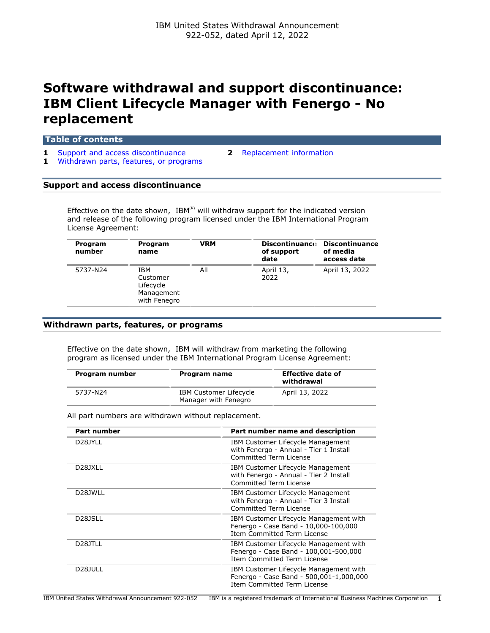# **Software withdrawal and support discontinuance: IBM Client Lifecycle Manager with Fenergo - No replacement**

### **Table of contents**

- **1** [Support and access discontinuance](#page-0-0) **2** [Replacement information](#page-1-0)
- **1** [Withdrawn parts, features, or programs](#page-0-1)
- 

### <span id="page-0-0"></span>**Support and access discontinuance**

Effective on the date shown,  $IBM^{(R)}$  will withdraw support for the indicated version and release of the following program licensed under the IBM International Program License Agreement:

| Program<br>number | Program<br>name                                            | <b>VRM</b> | <b>Discontinuance</b><br>of support<br>date | <b>Discontinuance</b><br>of media<br>access date |
|-------------------|------------------------------------------------------------|------------|---------------------------------------------|--------------------------------------------------|
| 5737-N24          | IBM<br>Customer<br>Lifecycle<br>Management<br>with Fenegro | All        | April 13,<br>2022                           | April 13, 2022                                   |

## <span id="page-0-1"></span>**Withdrawn parts, features, or programs**

Effective on the date shown, IBM will withdraw from marketing the following program as licensed under the IBM International Program License Agreement:

| Program number | Program name                                          | <b>Effective date of</b><br>withdrawal |
|----------------|-------------------------------------------------------|----------------------------------------|
| 5737-N24       | <b>IBM Customer Lifecycle</b><br>Manager with Fenegro | April 13, 2022                         |

All part numbers are withdrawn without replacement.

| <b>Part number</b>   | Part number name and description                                                                                     |
|----------------------|----------------------------------------------------------------------------------------------------------------------|
| D <sub>28</sub> JYLL | IBM Customer Lifecycle Management<br>with Fenergo - Annual - Tier 1 Install<br>Committed Term License                |
| D <sub>28</sub> JXLL | IBM Customer Lifecycle Management<br>with Fenergo - Annual - Tier 2 Install<br>Committed Term License                |
| D <sub>28</sub> JWLL | IBM Customer Lifecycle Management<br>with Fenergo - Annual - Tier 3 Install<br>Committed Term License                |
| D <sub>28</sub> JSLL | IBM Customer Lifecycle Management with<br>Fenergo - Case Band - 10,000-100,000<br><b>Item Committed Term License</b> |
| D <sub>28</sub> JTLL | IBM Customer Lifecycle Management with<br>Fenergo - Case Band - 100,001-500,000<br>Item Committed Term License       |
| D <sub>28</sub> JULL | IBM Customer Lifecycle Management with<br>Fenergo - Case Band - 500,001-1,000,000<br>Item Committed Term License     |